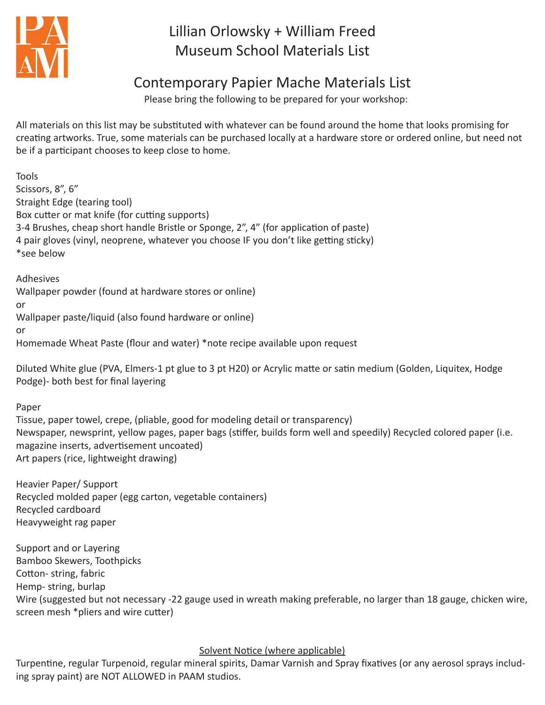

# Lillian Orlowsky + William Freed Museum School Materials List

## Contemporary Papier Mache Materials List

Please bring the following to be prepared for your workshop:

All materials on this list may be substituted with whatever can be found around the home that looks promising for creating artworks. True, some materials can be purchased locally at a hardware store or ordered online, but need not be if a participant chooses to keep close to home.

Tools Scissors, 8", 6" Straight Edge (tearing tool) Box cutter or mat knife (for cutting supports) 3-4 Brushes, cheap short handle Bristle or Sponge, 2", 4" (for application of paste) 4 pair gloves (vinyl, neoprene, whatever you choose IF you don't like getting sticky) \*see below

Adhesives Wallpaper powder (found at hardware stores or online) or Wallpaper paste/liquid (also found hardware or online) or Homemade Wheat Paste (flour and water) \*note recipe available upon request

Diluted White glue (PVA, Elmers-1 pt glue to 3 pt H20) or Acrylic matte or satin medium (Golden, Liquitex, Hodge Podge)- both best for final layering

Paper

Tissue, paper towel, crepe, (pliable, good for modeling detail or transparency) Newspaper, newsprint, yellow pages, paper bags (stiffer, builds form well and speedily) Recycled colored paper (i.e. magazine inserts, advertisement uncoated) Art papers (rice, lightweight drawing)

Heavier Paper/ Support Recycled molded paper (egg carton, vegetable containers) Recycled cardboard Heavyweight rag paper

Support and or Layering Bamboo Skewers, Toothpicks Cotton- string, fabric Hemp- string, burlap Wire (suggested but not necessary -22 gauge used in wreath making preferable, no larger than 18 gauge, chicken wire, screen mesh \*pliers and wire cutter)

## Solvent Notice (where applicable)

Turpentine, regular Turpenoid, regular mineral spirits, Damar Varnish and Spray fixatives (or any aerosol sprays including spray paint) are NOT ALLOWED in PAAM studios.